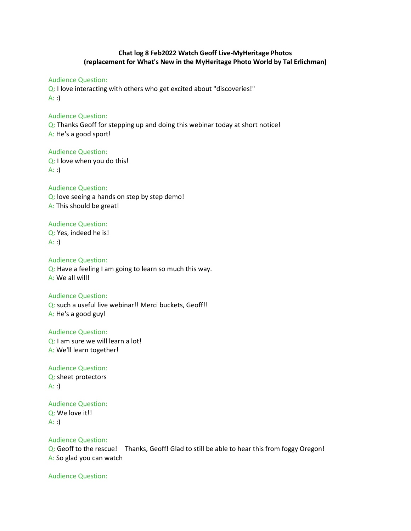# Chat log 8 Feb2022 Watch Geoff Live-MyHeritage Photos (replacement for What's New in the MyHeritage Photo World by Tal Erlichman)

Audience Question:

Q: I love interacting with others who get excited about "discoveries!"  $A:$ :

Audience Question:

Q: Thanks Geoff for stepping up and doing this webinar today at short notice! A: He's a good sport!

Audience Question: Q: I love when you do this!  $A:$ :

Audience Question: Q: love seeing a hands on step by step demo! A: This should be great!

### Audience Question:

Q: Yes, indeed he is!  $A:$ :

Audience Question:

Q: Have a feeling I am going to learn so much this way. A: We all will!

#### Audience Question:

Q: such a useful live webinar!! Merci buckets, Geoff!! A: He's a good guy!

Audience Question:

Q: I am sure we will learn a lot!

A: We'll learn together!

Audience Question: Q: sheet protectors  $A:$ 

Audience Question:

Q: We love it!! A: :)

Audience Question:

Q: Geoff to the rescue! Thanks, Geoff! Glad to still be able to hear this from foggy Oregon! A: So glad you can watch

Audience Question: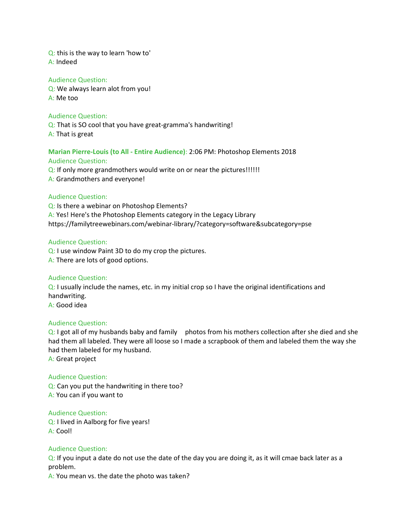Q: this is the way to learn 'how to' A: Indeed

#### Audience Question:

Q: We always learn alot from you! A: Me too

# Audience Question:

Q: That is SO cool that you have great-gramma's handwriting! A: That is great

#### Marian Pierre-Louis (to All - Entire Audience): 2:06 PM: Photoshop Elements 2018 Audience Question:

Q: If only more grandmothers would write on or near the pictures!!!!!! A: Grandmothers and everyone!

### Audience Question:

Q: Is there a webinar on Photoshop Elements? A: Yes! Here's the Photoshop Elements category in the Legacy Library https://familytreewebinars.com/webinar-library/?category=software&subcategory=pse

### Audience Question:

Q: I use window Paint 3D to do my crop the pictures. A: There are lots of good options.

### Audience Question:

Q: I usually include the names, etc. in my initial crop so I have the original identifications and handwriting. A: Good idea

#### Audience Question:

 $Q: I$  got all of my husbands baby and family photos from his mothers collection after she died and she had them all labeled. They were all loose so I made a scrapbook of them and labeled them the way she had them labeled for my husband.

A: Great project

### Audience Question:

Q: Can you put the handwriting in there too? A: You can if you want to

### Audience Question:

Q: I lived in Aalborg for five years! A: Cool!

### Audience Question:

Q: If you input a date do not use the date of the day you are doing it, as it will cmae back later as a problem.

A: You mean vs. the date the photo was taken?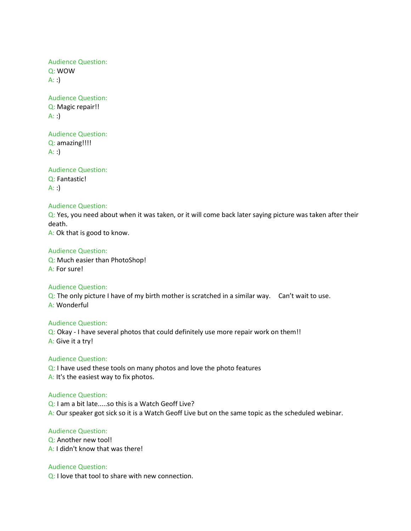Audience Question: Q: WOW  $A:$ :

Audience Question: Q: Magic repair!!  $A:$ :

# Audience Question:

Q: amazing!!!!  $A:$ :

Audience Question: Q: Fantastic!  $A: :$ 

#### Audience Question:

Q: Yes, you need about when it was taken, or it will come back later saying picture was taken after their death.

A: Ok that is good to know.

# Audience Question:

Q: Much easier than PhotoShop! A: For sure!

#### Audience Question:

 $Q$ : The only picture I have of my birth mother is scratched in a similar way. Can't wait to use. A: Wonderful

#### Audience Question:

Q: Okay - I have several photos that could definitely use more repair work on them!! A: Give it a try!

#### Audience Question:

Q: I have used these tools on many photos and love the photo features A: It's the easiest way to fix photos.

#### Audience Question:

Q: I am a bit late.....so this is a Watch Geoff Live? A: Our speaker got sick so it is a Watch Geoff Live but on the same topic as the scheduled webinar.

# Audience Question:

Q: Another new tool! A: I didn't know that was there!

Audience Question: Q: I love that tool to share with new connection.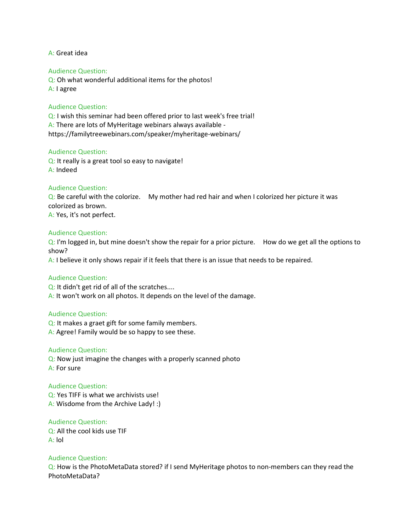A: Great idea

#### Audience Question:

Q: Oh what wonderful additional items for the photos! A: I agree

### Audience Question:

Q: I wish this seminar had been offered prior to last week's free trial! A: There are lots of MyHeritage webinars always available https://familytreewebinars.com/speaker/myheritage-webinars/

#### Audience Question:

Q: It really is a great tool so easy to navigate! A: Indeed

#### Audience Question:

 $Q:$  Be careful with the colorize. My mother had red hair and when I colorized her picture it was colorized as brown. A: Yes, it's not perfect.

#### Audience Question:

 $Q: I'm$  logged in, but mine doesn't show the repair for a prior picture. How do we get all the options to show?

A: I believe it only shows repair if it feels that there is an issue that needs to be repaired.

#### Audience Question:

Q: It didn't get rid of all of the scratches.... A: It won't work on all photos. It depends on the level of the damage.

#### Audience Question:

Q: It makes a graet gift for some family members. A: Agree! Family would be so happy to see these.

#### Audience Question:

Q: Now just imagine the changes with a properly scanned photo A: For sure

#### Audience Question:

Q: Yes TIFF is what we archivists use! A: Wisdome from the Archive Lady! :)

Audience Question: Q: All the cool kids use TIF A: lol

#### Audience Question:

Q: How is the PhotoMetaData stored? if I send MyHeritage photos to non-members can they read the PhotoMetaData?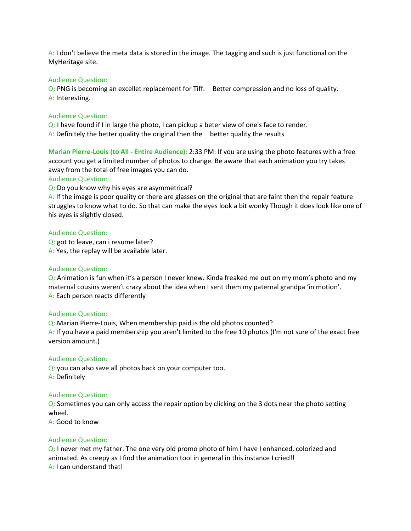A: I don't believe the meta data is stored in the image. The tagging and such is just functional on the MyHeritage site.

#### Audience Question:

Q: PNG is becoming an excellet replacement for Tiff. Better compression and no loss of quality. A: Interesting.

#### Audience Question:

Q: I have found if I in large the photo, I can pickup a beter view of one's face to render. A: Definitely the better quality the original then the better quality the results

Marian Pierre-Louis (to All - Entire Audience): 2:33 PM: If you are using the photo features with a free account you get a limited number of photos to change. Be aware that each animation you try takes away from the total of free images you can do.

#### Audience Question:

Q: Do you know why his eyes are asymmetrical?

A: If the image is poor quality or there are glasses on the original that are faint then the repair feature struggles to know what to do. So that can make the eyes look a bit wonky Though it does look like one of his eyes is slightly closed.

### Audience Question:

Q: got to leave, can i resume later? A: Yes, the replay will be available later.

#### Audience Question:

Q: Animation is fun when it's a person I never knew. Kinda freaked me out on my mom's photo and my maternal cousins weren't crazy about the idea when I sent them my paternal grandpa 'in motion'. A: Each person reacts differently

#### Audience Question:

Q: Marian Pierre-Louis, When membership paid is the old photos counted? A: If you have a paid membership you aren't limited to the free 10 photos (I'm not sure of the exact free version amount.)

### Audience Question:

Q: you can also save all photos back on your computer too. A: Definitely

#### Audience Question:

Q: Sometimes you can only access the repair option by clicking on the 3 dots near the photo setting wheel.

A: Good to know

### Audience Question:

Q: I never met my father. The one very old promo photo of him I have I enhanced, colorized and animated. As creepy as I find the animation tool in general in this instance I cried!! A: I can understand that!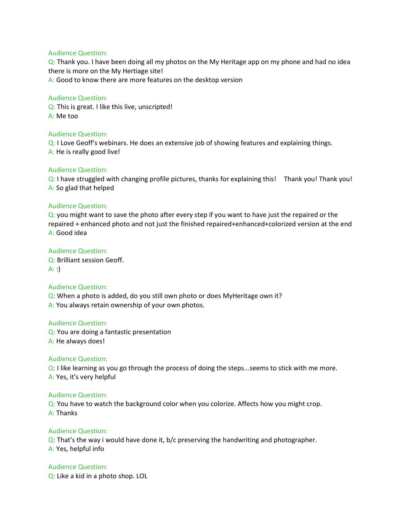#### Audience Question:

Q: Thank you. I have been doing all my photos on the My Heritage app on my phone and had no idea there is more on the My Hertiage site! A: Good to know there are more features on the desktop version

### Audience Question:

Q: This is great. I like this live, unscripted! A: Me too

### Audience Question:

Q: I Love Geoff's webinars. He does an extensive job of showing features and explaining things. A: He is really good live!

### Audience Question:

 $Q: I$  have struggled with changing profile pictures, thanks for explaining this! Thank you! Thank you! A: So glad that helped

### Audience Question:

Q: you might want to save the photo after every step if you want to have just the repaired or the repaired + enhanced photo and not just the finished repaired+enhanced+colorized version at the end A: Good idea

# Audience Question:

Q: Brilliant session Geoff.  $A:$ :

### Audience Question:

Q: When a photo is added, do you still own photo or does MyHeritage own it? A: You always retain ownership of your own photos.

#### Audience Question:

Q: You are doing a fantastic presentation A: He always does!

### Audience Question:

Q: I like learning as you go through the process of doing the steps...seems to stick with me more. A: Yes, it's very helpful

#### Audience Question:

Q: You have to watch the background color when you colorize. Affects how you might crop. A: Thanks

# Audience Question:

Q: That's the way i would have done it, b/c preserving the handwriting and photographer. A: Yes, helpful info

### Audience Question:

Q: Like a kid in a photo shop. LOL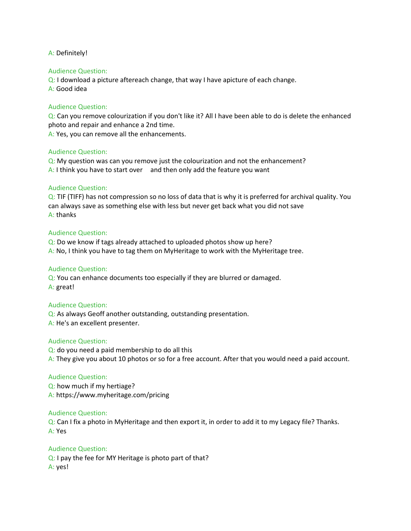#### A: Definitely!

#### Audience Question:

Q: I download a picture aftereach change, that way I have apicture of each change. A: Good idea

### Audience Question:

Q: Can you remove colourization if you don't like it? All I have been able to do is delete the enhanced photo and repair and enhance a 2nd time.

A: Yes, you can remove all the enhancements.

#### Audience Question:

Q: My question was can you remove just the colourization and not the enhancement? A: I think you have to start over and then only add the feature you want

### Audience Question:

 $Q$ : TIF (TIFF) has not compression so no loss of data that is why it is preferred for archival quality. You can always save as something else with less but never get back what you did not save A: thanks

### Audience Question:

Q: Do we know if tags already attached to uploaded photos show up here? A: No, I think you have to tag them on MyHeritage to work with the MyHeritage tree.

#### Audience Question:

Q: You can enhance documents too especially if they are blurred or damaged. A: great!

### Audience Question:

Q: As always Geoff another outstanding, outstanding presentation. A: He's an excellent presenter.

#### Audience Question:

Q: do you need a paid membership to do all this A: They give you about 10 photos or so for a free account. After that you would need a paid account.

#### Audience Question:

Q: how much if my hertiage? A: https://www.myheritage.com/pricing

#### Audience Question:

Q: Can I fix a photo in MyHeritage and then export it, in order to add it to my Legacy file? Thanks. A: Yes

### Audience Question:

Q: I pay the fee for MY Heritage is photo part of that? A: yes!